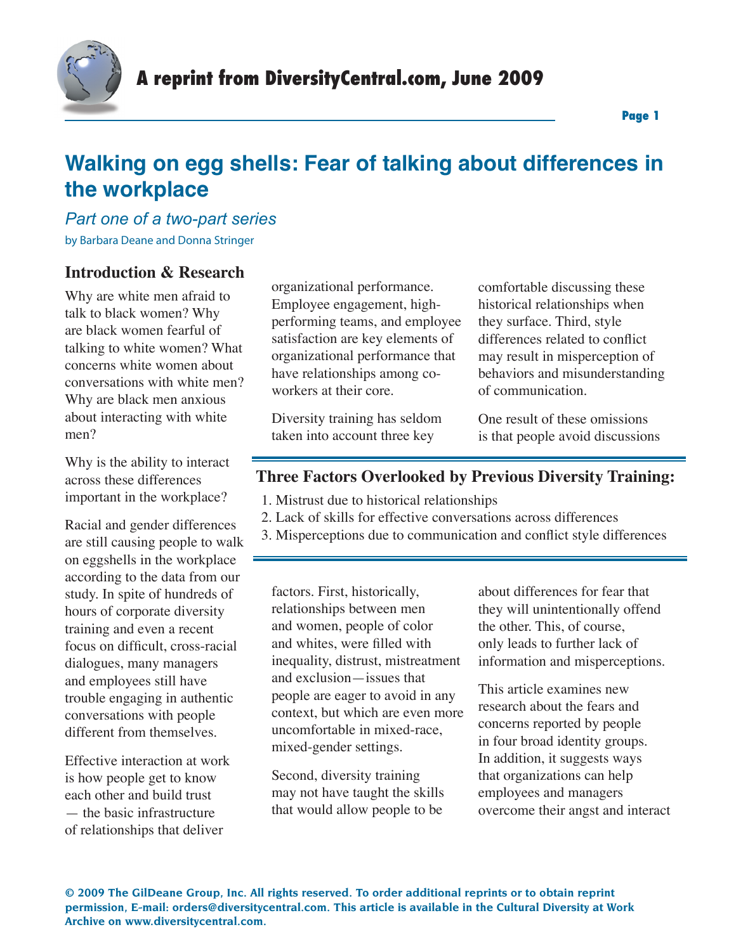

## *Part one of a two-part series* by Barbara Deane and Donna Stringer

## **Introduction & Research**

Why are white men afraid to talk to black women? Why are black women fearful of talking to white women? What concerns white women about conversations with white men? Why are black men anxious about interacting with white men?

Why is the ability to interact across these differences important in the workplace?

Racial and gender differences are still causing people to walk on eggshells in the workplace according to the data from our study. In spite of hundreds of hours of corporate diversity training and even a recent focus on difficult, cross-racial dialogues, many managers and employees still have trouble engaging in authentic conversations with people different from themselves.

Effective interaction at work is how people get to know each other and build trust — the basic infrastructure of relationships that deliver

organizational performance. Employee engagement, highperforming teams, and employee satisfaction are key elements of organizational performance that have relationships among coworkers at their core.

Diversity training has seldom taken into account three key

comfortable discussing these historical relationships when they surface. Third, style differences related to conflict may result in misperception of behaviors and misunderstanding of communication.

One result of these omissions is that people avoid discussions

## **Three Factors Overlooked by Previous Diversity Training:**

- 1. Mistrust due to historical relationships
- 2. Lack of skills for effective conversations across differences
- 3. Misperceptions due to communication and conflict style differences

factors. First, historically, relationships between men and women, people of color and whites, were filled with inequality, distrust, mistreatment and exclusion—issues that people are eager to avoid in any context, but which are even more uncomfortable in mixed-race, mixed-gender settings.

Second, diversity training may not have taught the skills that would allow people to be

about differences for fear that they will unintentionally offend the other. This, of course, only leads to further lack of information and misperceptions.

This article examines new research about the fears and concerns reported by people in four broad identity groups. In addition, it suggests ways that organizations can help employees and managers overcome their angst and interact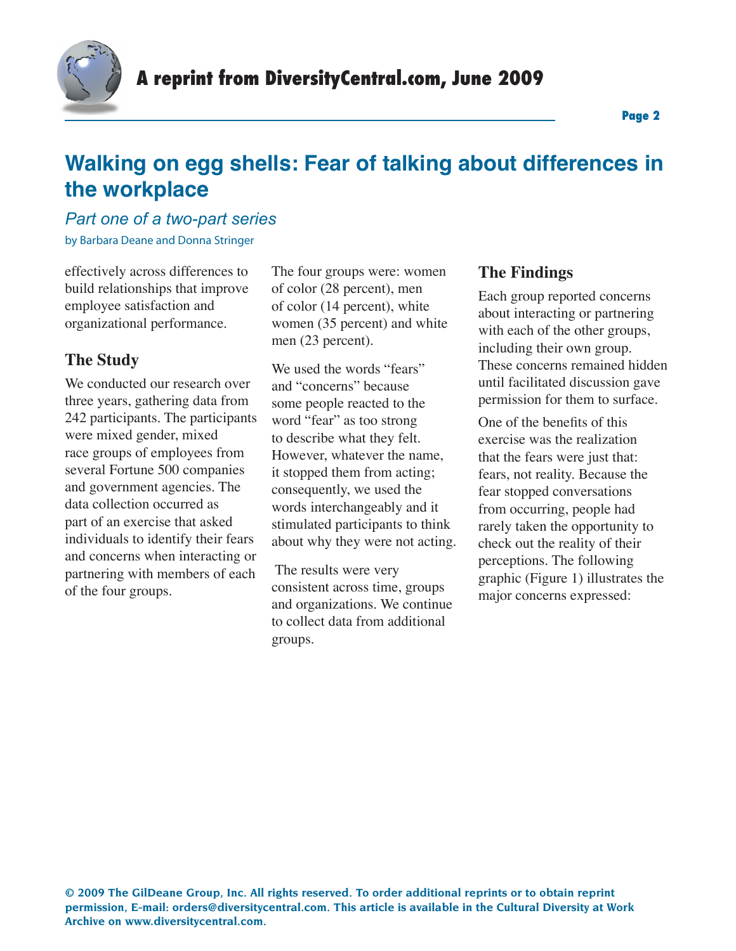

### *Part one of a two-part series*

by Barbara Deane and Donna Stringer

effectively across differences to build relationships that improve employee satisfaction and organizational performance.

## **The Study**

We conducted our research over three years, gathering data from 242 participants. The participants were mixed gender, mixed race groups of employees from several Fortune 500 companies and government agencies. The data collection occurred as part of an exercise that asked individuals to identify their fears and concerns when interacting or partnering with members of each of the four groups.

The four groups were: women of color (28 percent), men of color (14 percent), white women (35 percent) and white men (23 percent).

We used the words "fears" and "concerns" because some people reacted to the word "fear" as too strong to describe what they felt. However, whatever the name, it stopped them from acting; consequently, we used the words interchangeably and it stimulated participants to think about why they were not acting.

 The results were very consistent across time, groups and organizations. We continue to collect data from additional groups.

## **The Findings**

Each group reported concerns about interacting or partnering with each of the other groups, including their own group. These concerns remained hidden until facilitated discussion gave permission for them to surface.

One of the benefits of this exercise was the realization that the fears were just that: fears, not reality. Because the fear stopped conversations from occurring, people had rarely taken the opportunity to check out the reality of their perceptions. The following graphic (Figure 1) illustrates the major concerns expressed: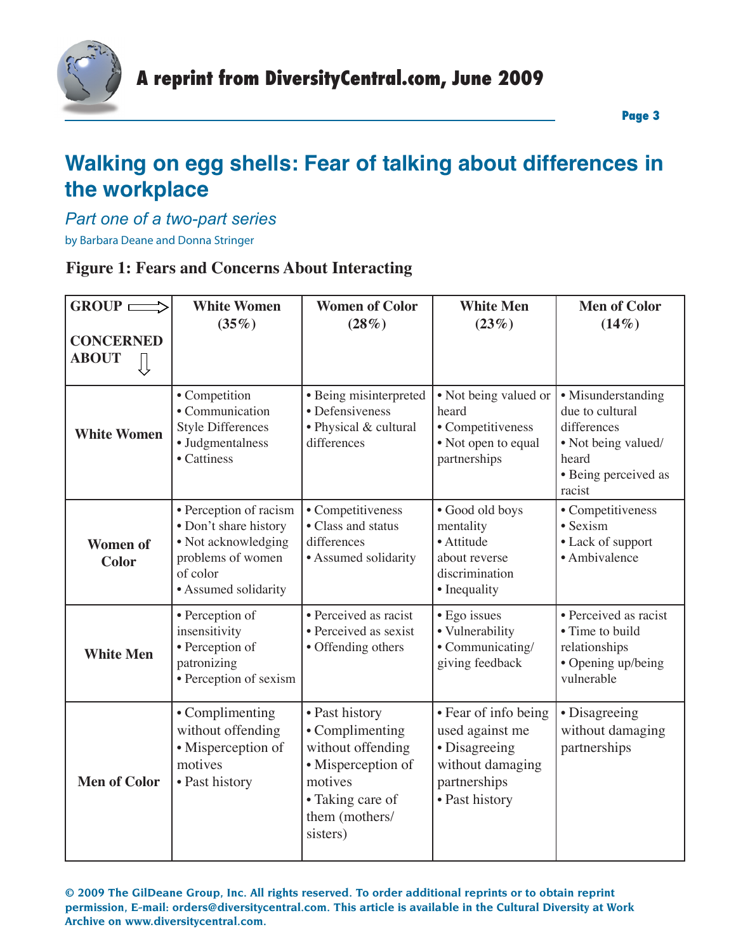

*Part one of a two-part series*

by Barbara Deane and Donna Stringer

### **Figure 1: Fears and Concerns About Interacting**

| $GROUP \longrightarrow$               | <b>White Women</b><br>(35%)                                                                                                     | <b>Women of Color</b><br>$(28\%)$                                                                                                         | <b>White Men</b><br>(23%)                                                                                      | <b>Men of Color</b><br>$(14\%)$                                                                                        |
|---------------------------------------|---------------------------------------------------------------------------------------------------------------------------------|-------------------------------------------------------------------------------------------------------------------------------------------|----------------------------------------------------------------------------------------------------------------|------------------------------------------------------------------------------------------------------------------------|
| <b>CONCERNED</b><br><b>ABOUT</b><br>∬ |                                                                                                                                 |                                                                                                                                           |                                                                                                                |                                                                                                                        |
| <b>White Women</b>                    | • Competition<br>• Communication<br><b>Style Differences</b><br>• Judgmentalness<br>• Cattiness                                 | • Being misinterpreted<br>• Defensiveness<br>• Physical & cultural<br>differences                                                         | • Not being valued or<br>heard<br>• Competitiveness<br>• Not open to equal<br>partnerships                     | • Misunderstanding<br>due to cultural<br>differences<br>• Not being valued/<br>heard<br>• Being perceived as<br>racist |
| <b>Women of</b><br><b>Color</b>       | • Perception of racism<br>• Don't share history<br>• Not acknowledging<br>problems of women<br>of color<br>• Assumed solidarity | • Competitiveness<br>• Class and status<br>differences<br>• Assumed solidarity                                                            | · Good old boys<br>mentality<br>· Attitude<br>about reverse<br>discrimination<br>• Inequality                  | • Competitiveness<br>• Sexism<br>• Lack of support<br>• Ambivalence                                                    |
| <b>White Men</b>                      | • Perception of<br>insensitivity<br>• Perception of<br>patronizing<br>• Perception of sexism                                    | • Perceived as racist<br>• Perceived as sexist<br>• Offending others                                                                      | • Ego issues<br>• Vulnerability<br>• Communicating/<br>giving feedback                                         | • Perceived as racist<br>• Time to build<br>relationships<br>• Opening up/being<br>vulnerable                          |
| <b>Men of Color</b>                   | • Complimenting<br>without offending<br>• Misperception of<br>motives<br>• Past history                                         | • Past history<br>• Complimenting<br>without offending<br>• Misperception of<br>motives<br>• Taking care of<br>them (mothers/<br>sisters) | • Fear of info being<br>used against me<br>• Disagreeing<br>without damaging<br>partnerships<br>• Past history | • Disagreeing<br>without damaging<br>partnerships                                                                      |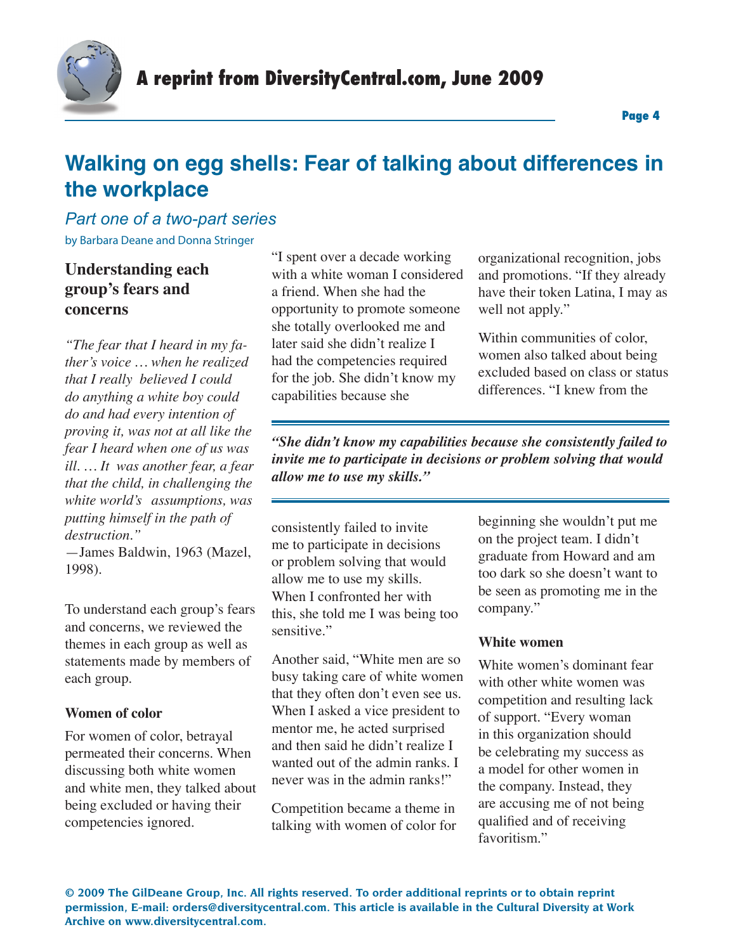

## *Part one of a two-part series* by Barbara Deane and Donna Stringer

## **Understanding each group's fears and concerns**

*"The fear that I heard in my father's voice … when he realized that I really believed I could do anything a white boy could do and had every intention of proving it, was not at all like the fear I heard when one of us was ill. … It was another fear, a fear that the child, in challenging the white world's assumptions, was putting himself in the path of destruction."* 

—James Baldwin, 1963 (Mazel, 1998).

To understand each group's fears and concerns, we reviewed the themes in each group as well as statements made by members of each group.

#### **Women of color**

For women of color, betrayal permeated their concerns. When discussing both white women and white men, they talked about being excluded or having their competencies ignored.

"I spent over a decade working with a white woman I considered a friend. When she had the opportunity to promote someone she totally overlooked me and later said she didn't realize I had the competencies required for the job. She didn't know my capabilities because she

organizational recognition, jobs and promotions. "If they already have their token Latina, I may as well not apply."

Within communities of color, women also talked about being excluded based on class or status differences. "I knew from the

*"She didn't know my capabilities because she consistently failed to invite me to participate in decisions or problem solving that would allow me to use my skills."*

consistently failed to invite me to participate in decisions or problem solving that would allow me to use my skills. When I confronted her with this, she told me I was being too sensitive."

Another said, "White men are so busy taking care of white women that they often don't even see us. When I asked a vice president to mentor me, he acted surprised and then said he didn't realize I wanted out of the admin ranks. I never was in the admin ranks!"

Competition became a theme in talking with women of color for beginning she wouldn't put me on the project team. I didn't graduate from Howard and am too dark so she doesn't want to be seen as promoting me in the company."

#### **White women**

White women's dominant fear with other white women was competition and resulting lack of support. "Every woman in this organization should be celebrating my success as a model for other women in the company. Instead, they are accusing me of not being qualified and of receiving favoritism."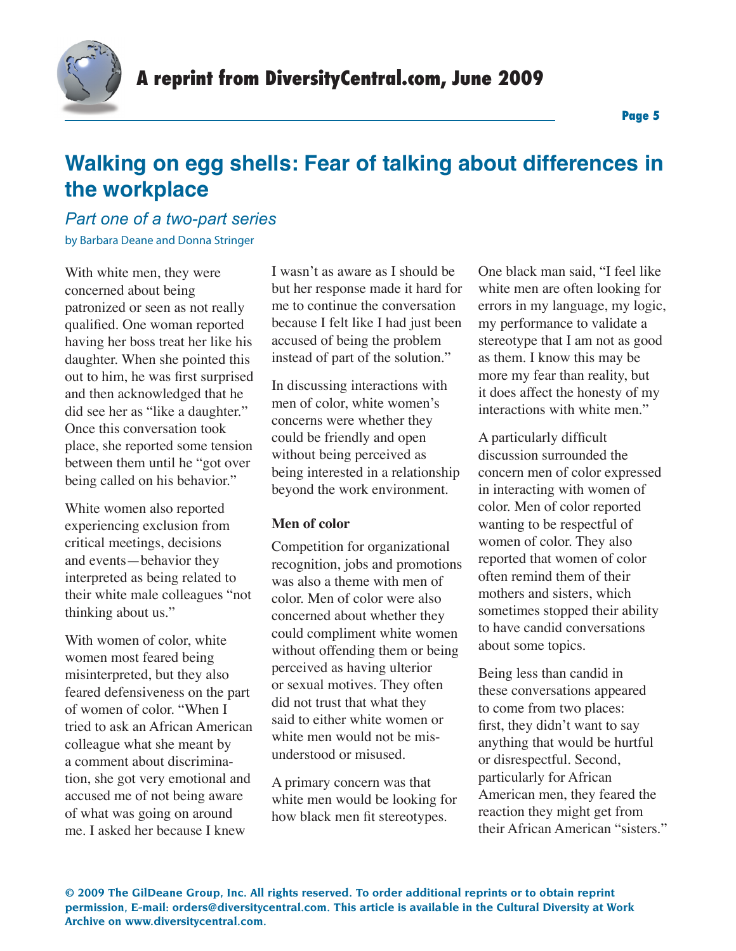

### *Part one of a two-part series* by Barbara Deane and Donna Stringer

With white men, they were concerned about being patronized or seen as not really qualified. One woman reported having her boss treat her like his daughter. When she pointed this out to him, he was first surprised and then acknowledged that he did see her as "like a daughter." Once this conversation took place, she reported some tension between them until he "got over being called on his behavior."

White women also reported experiencing exclusion from critical meetings, decisions and events—behavior they interpreted as being related to their white male colleagues "not thinking about us."

With women of color, white women most feared being misinterpreted, but they also feared defensiveness on the part of women of color. "When I tried to ask an African American colleague what she meant by a comment about discrimination, she got very emotional and accused me of not being aware of what was going on around me. I asked her because I knew

I wasn't as aware as I should be but her response made it hard for me to continue the conversation because I felt like I had just been accused of being the problem instead of part of the solution."

In discussing interactions with men of color, white women's concerns were whether they could be friendly and open without being perceived as being interested in a relationship beyond the work environment.

#### **Men of color**

Competition for organizational recognition, jobs and promotions was also a theme with men of color. Men of color were also concerned about whether they could compliment white women without offending them or being perceived as having ulterior or sexual motives. They often did not trust that what they said to either white women or white men would not be misunderstood or misused.

A primary concern was that white men would be looking for how black men fit stereotypes.

One black man said, "I feel like white men are often looking for errors in my language, my logic, my performance to validate a stereotype that I am not as good as them. I know this may be more my fear than reality, but it does affect the honesty of my interactions with white men."

A particularly difficult discussion surrounded the concern men of color expressed in interacting with women of color. Men of color reported wanting to be respectful of women of color. They also reported that women of color often remind them of their mothers and sisters, which sometimes stopped their ability to have candid conversations about some topics.

Being less than candid in these conversations appeared to come from two places: first, they didn't want to say anything that would be hurtful or disrespectful. Second, particularly for African American men, they feared the reaction they might get from their African American "sisters."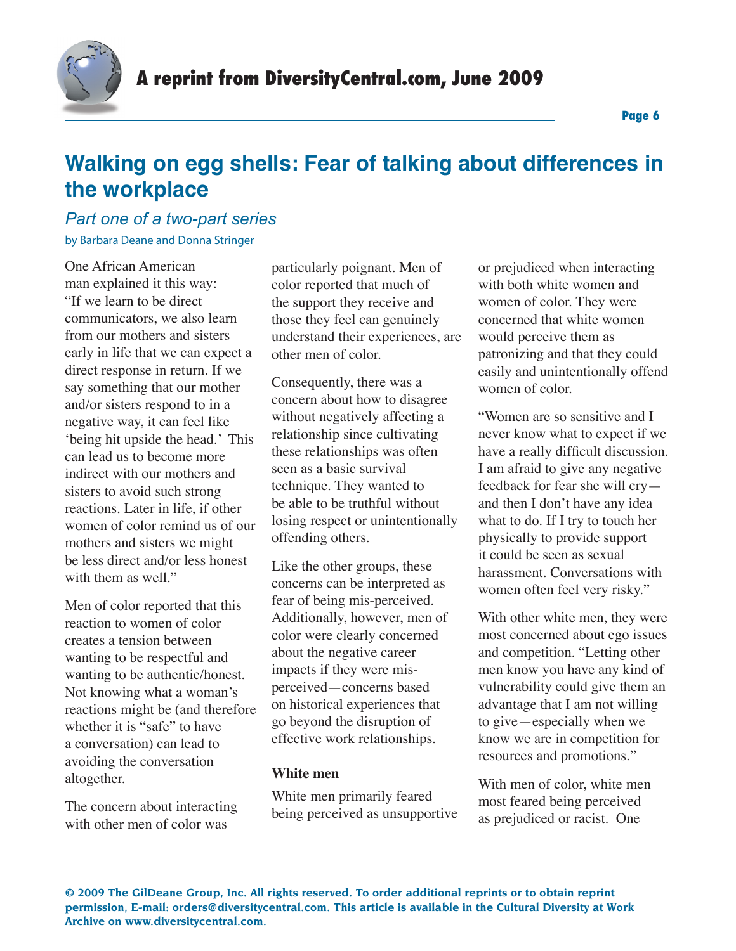

### *Part one of a two-part series*

by Barbara Deane and Donna Stringer

One African American man explained it this way: "If we learn to be direct communicators, we also learn from our mothers and sisters early in life that we can expect a direct response in return. If we say something that our mother and/or sisters respond to in a negative way, it can feel like 'being hit upside the head.' This can lead us to become more indirect with our mothers and sisters to avoid such strong reactions. Later in life, if other women of color remind us of our mothers and sisters we might be less direct and/or less honest with them as well."

Men of color reported that this reaction to women of color creates a tension between wanting to be respectful and wanting to be authentic/honest. Not knowing what a woman's reactions might be (and therefore whether it is "safe" to have a conversation) can lead to avoiding the conversation altogether.

The concern about interacting with other men of color was

particularly poignant. Men of color reported that much of the support they receive and those they feel can genuinely understand their experiences, are other men of color.

Consequently, there was a concern about how to disagree without negatively affecting a relationship since cultivating these relationships was often seen as a basic survival technique. They wanted to be able to be truthful without losing respect or unintentionally offending others.

Like the other groups, these concerns can be interpreted as fear of being mis-perceived. Additionally, however, men of color were clearly concerned about the negative career impacts if they were misperceived—concerns based on historical experiences that go beyond the disruption of effective work relationships.

#### **White men**

White men primarily feared being perceived as unsupportive or prejudiced when interacting with both white women and women of color. They were concerned that white women would perceive them as patronizing and that they could easily and unintentionally offend women of color.

"Women are so sensitive and I never know what to expect if we have a really difficult discussion. I am afraid to give any negative feedback for fear she will cry and then I don't have any idea what to do. If I try to touch her physically to provide support it could be seen as sexual harassment. Conversations with women often feel very risky."

With other white men, they were most concerned about ego issues and competition. "Letting other men know you have any kind of vulnerability could give them an advantage that I am not willing to give—especially when we know we are in competition for resources and promotions."

With men of color, white men most feared being perceived as prejudiced or racist. One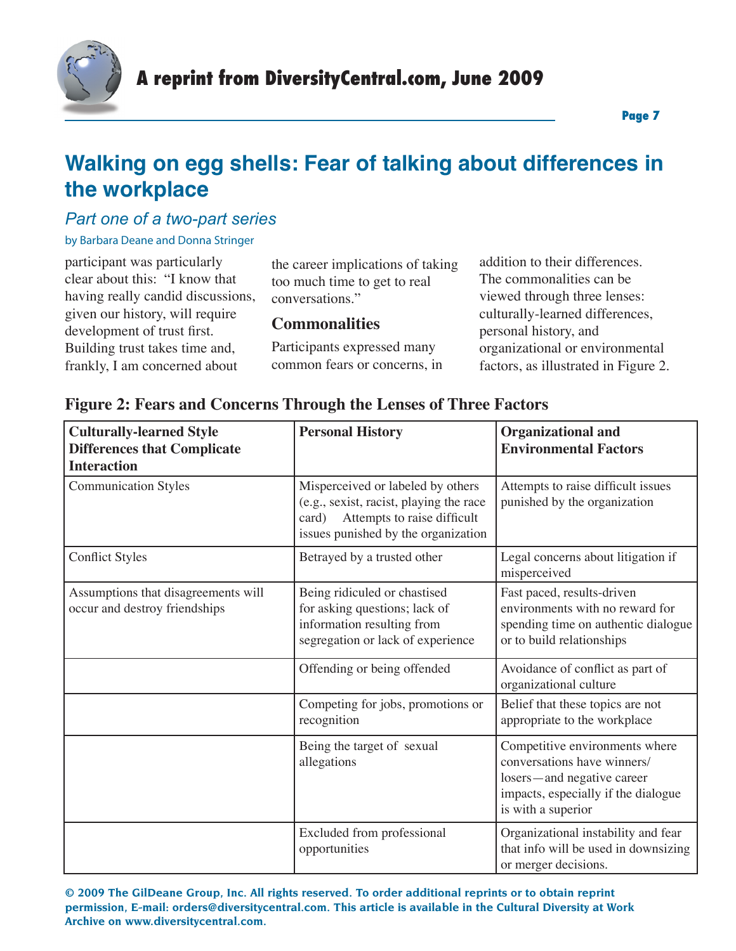

## *Part one of a two-part series*

by Barbara Deane and Donna Stringer

participant was particularly clear about this: "I know that having really candid discussions, given our history, will require development of trust first. Building trust takes time and, frankly, I am concerned about

the career implications of taking too much time to get to real conversations."

## **Commonalities**

Participants expressed many common fears or concerns, in

addition to their differences. The commonalities can be viewed through three lenses: culturally-learned differences, personal history, and organizational or environmental factors, as illustrated in Figure 2.

| <b>Culturally-learned Style</b><br><b>Differences that Complicate</b><br><b>Interaction</b> | <b>Personal History</b>                                                                                                                                     | <b>Organizational and</b><br><b>Environmental Factors</b>                                                                                                |
|---------------------------------------------------------------------------------------------|-------------------------------------------------------------------------------------------------------------------------------------------------------------|----------------------------------------------------------------------------------------------------------------------------------------------------------|
| <b>Communication Styles</b>                                                                 | Misperceived or labeled by others<br>(e.g., sexist, racist, playing the race<br>Attempts to raise difficult<br>card)<br>issues punished by the organization | Attempts to raise difficult issues<br>punished by the organization                                                                                       |
| <b>Conflict Styles</b>                                                                      | Betrayed by a trusted other                                                                                                                                 | Legal concerns about litigation if<br>misperceived                                                                                                       |
| Assumptions that disagreements will<br>occur and destroy friendships                        | Being ridiculed or chastised<br>for asking questions; lack of<br>information resulting from<br>segregation or lack of experience                            | Fast paced, results-driven<br>environments with no reward for<br>spending time on authentic dialogue<br>or to build relationships                        |
|                                                                                             | Offending or being offended                                                                                                                                 | Avoidance of conflict as part of<br>organizational culture                                                                                               |
|                                                                                             | Competing for jobs, promotions or<br>recognition                                                                                                            | Belief that these topics are not<br>appropriate to the workplace                                                                                         |
|                                                                                             | Being the target of sexual<br>allegations                                                                                                                   | Competitive environments where<br>conversations have winners/<br>losers—and negative career<br>impacts, especially if the dialogue<br>is with a superior |
|                                                                                             | Excluded from professional<br>opportunities                                                                                                                 | Organizational instability and fear<br>that info will be used in downsizing<br>or merger decisions.                                                      |

## **Figure 2: Fears and Concerns Through the Lenses of Three Factors**